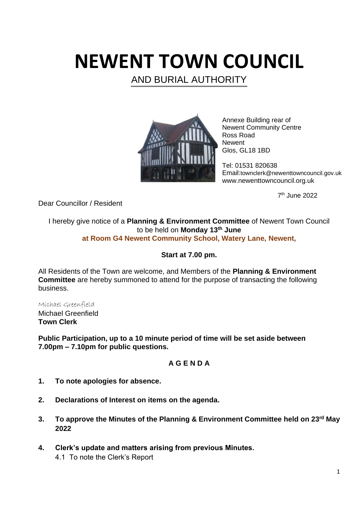# **NEWENT TOWN COUNCIL**

AND BURIAL AUTHORITY



Annexe Building rear of Newent Community Centre Ross Road **Newent** Glos, GL18 1BD

Tel: 01531 820638 Email:townclerk@newenttowncouncil.gov.uk www.newenttowncouncil.org.uk

7 th June 2022

Dear Councillor / Resident

I hereby give notice of a **Planning & Environment Committee** of Newent Town Council to be held on **Monday 13th June at Room G4 Newent Community School, Watery Lane, Newent,**

# **Start at 7.00 pm.**

All Residents of the Town are welcome, and Members of the **Planning & Environment Committee** are hereby summoned to attend for the purpose of transacting the following business.

Michael Greenfield Michael Greenfield

**Town Clerk**

**Public Participation, up to a 10 minute period of time will be set aside between 7.00pm – 7.10pm for public questions.**

# **A G E N D A**

- **1. To note apologies for absence.**
- **2. Declarations of Interest on items on the agenda.**
- **3. To approve the Minutes of the Planning & Environment Committee held on 23rd May 2022**
- **4. Clerk's update and matters arising from previous Minutes.** 4.1 To note the Clerk's Report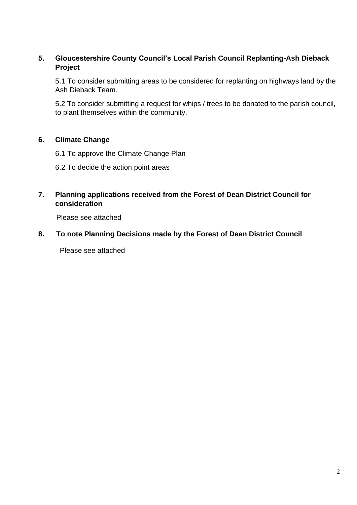## **5. Gloucestershire County Council's Local Parish Council Replanting-Ash Dieback Project**

5.1 To consider submitting areas to be considered for replanting on highways land by the Ash Dieback Team.

5.2 To consider submitting a request for whips / trees to be donated to the parish council, to plant themselves within the community.

## **6. Climate Change**

- 6.1 To approve the Climate Change Plan
- 6.2 To decide the action point areas
- **7. Planning applications received from the Forest of Dean District Council for consideration**

Please see attached

**8. To note Planning Decisions made by the Forest of Dean District Council**

Please see attached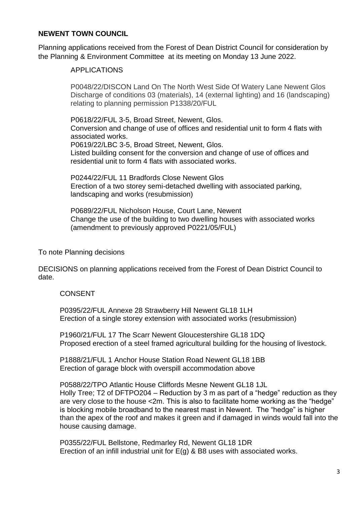#### **NEWENT TOWN COUNCIL**

Planning applications received from the Forest of Dean District Council for consideration by the Planning & Environment Committee at its meeting on Monday 13 June 2022.

### APPLICATIONS

P0048/22/DISCON Land On The North West Side Of Watery Lane Newent Glos Discharge of conditions 03 (materials), 14 (external lighting) and 16 (landscaping) relating to planning permission P1338/20/FUL

P0618/22/FUL 3-5, Broad Street, Newent, Glos. Conversion and change of use of offices and residential unit to form 4 flats with associated works.

P0619/22/LBC 3-5, Broad Street, Newent, Glos. Listed building consent for the conversion and change of use of offices and residential unit to form 4 flats with associated works.

P0244/22/FUL 11 Bradfords Close Newent Glos Erection of a two storey semi-detached dwelling with associated parking, landscaping and works (resubmission)

P0689/22/FUL Nicholson House, Court Lane, Newent Change the use of the building to two dwelling houses with associated works (amendment to previously approved P0221/05/FUL)

#### To note Planning decisions

DECISIONS on planning applications received from the Forest of Dean District Council to date.

#### CONSENT

P0395/22/FUL Annexe 28 Strawberry Hill Newent GL18 1LH Erection of a single storey extension with associated works (resubmission)

P1960/21/FUL 17 The Scarr Newent Gloucestershire GL18 1DQ Proposed erection of a steel framed agricultural building for the housing of livestock.

P1888/21/FUL 1 Anchor House Station Road Newent GL18 1BB Erection of garage block with overspill accommodation above

P0588/22/TPO Atlantic House Cliffords Mesne Newent GL18 1JL Holly Tree; T2 of DFTPO204 – Reduction by 3 m as part of a "hedge" reduction as they are very close to the house <2m. This is also to facilitate home working as the "hedge" is blocking mobile broadband to the nearest mast in Newent. The "hedge" is higher than the apex of the roof and makes it green and if damaged in winds would fall into the house causing damage.

P0355/22/FUL Bellstone, Redmarley Rd, Newent GL18 1DR Erection of an infill industrial unit for  $E(q)$  & B8 uses with associated works.